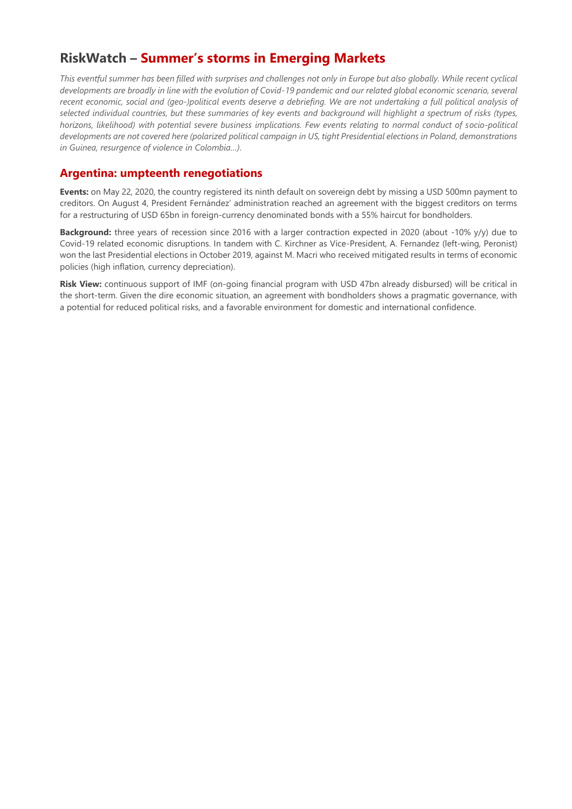# **RiskWatch – Summer's storms in Emerging Markets**

*This eventful summer has been filled with surprises and challenges not only in Europe but also globally. While recent cyclical developments are broadly in line with the evolution of Covid-19 pandemic and our related global economic scenario, several recent economic, social and (geo-)political events deserve a debriefing. We are not undertaking a full political analysis of selected individual countries, but these summaries of key events and background will highlight a spectrum of risks (types, horizons, likelihood) with potential severe business implications. Few events relating to normal conduct of socio-political developments are not covered here (polarized political campaign in US, tight Presidential elections in Poland, demonstrations in Guinea, resurgence of violence in Colombia…).*

#### **Argentina: umpteenth renegotiations**

**Events:** on May 22, 2020, the country registered its ninth default on sovereign debt by missing a USD 500mn payment to creditors. On August 4, President Fernández' administration reached an agreement with the biggest creditors on terms for a restructuring of USD 65bn in foreign-currency denominated bonds with a 55% haircut for bondholders.

**Background:** three years of recession since 2016 with a larger contraction expected in 2020 (about -10% y/y) due to Covid-19 related economic disruptions. In tandem with C. Kirchner as Vice-President, A. Fernandez (left-wing, Peronist) won the last Presidential elections in October 2019, against M. Macri who received mitigated results in terms of economic policies (high inflation, currency depreciation).

**Risk View:** continuous support of IMF (on-going financial program with USD 47bn already disbursed) will be critical in the short-term. Given the dire economic situation, an agreement with bondholders shows a pragmatic governance, with a potential for reduced political risks, and a favorable environment for domestic and international confidence.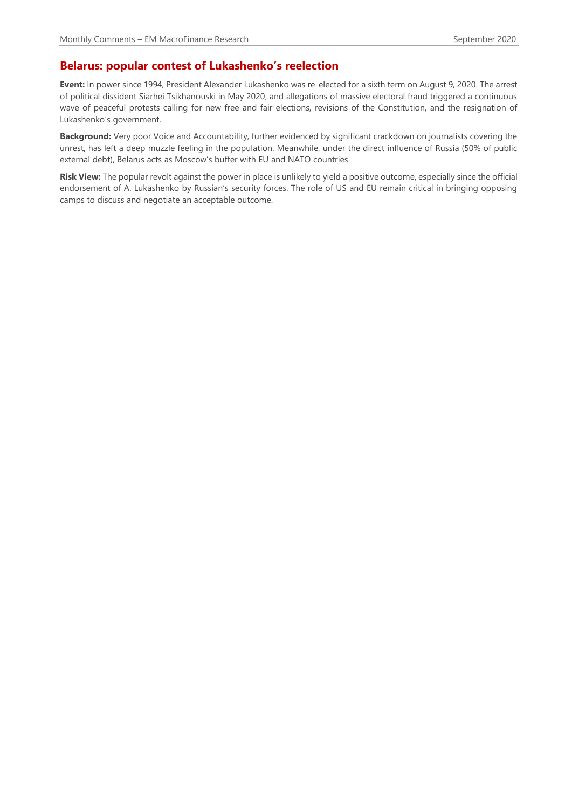## **Belarus: popular contest of Lukashenko's reelection**

**Event:** In power since 1994, President Alexander Lukashenko was re-elected for a sixth term on August 9, 2020. The arrest of political dissident Siarhei Tsikhanouski in May 2020, and allegations of massive electoral fraud triggered a continuous wave of peaceful protests calling for new free and fair elections, revisions of the Constitution, and the resignation of Lukashenko's government.

**Background:** Very poor Voice and Accountability, further evidenced by significant crackdown on journalists covering the unrest, has left a deep muzzle feeling in the population. Meanwhile, under the direct influence of Russia (50% of public external debt), Belarus acts as Moscow's buffer with EU and NATO countries.

**Risk View:** The popular revolt against the power in place is unlikely to yield a positive outcome, especially since the official endorsement of A. Lukashenko by Russian's security forces. The role of US and EU remain critical in bringing opposing camps to discuss and negotiate an acceptable outcome.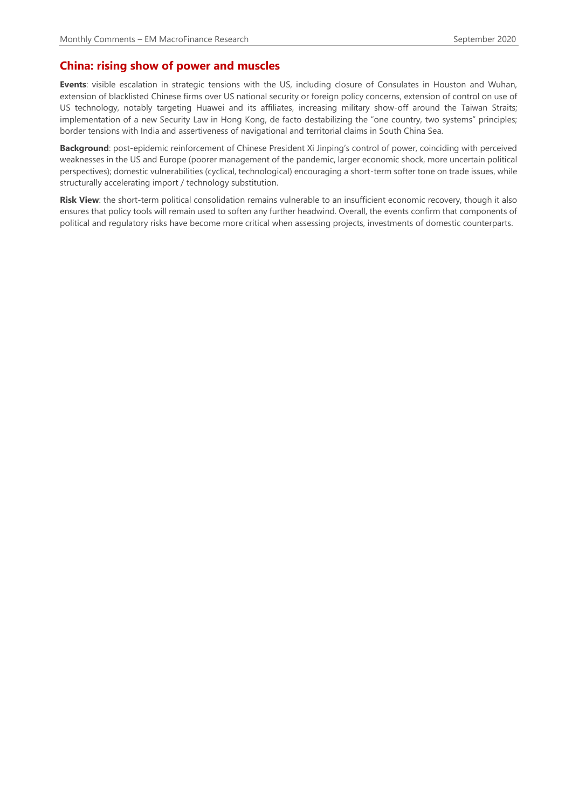## **China: rising show of power and muscles**

**Events**: visible escalation in strategic tensions with the US, including closure of Consulates in Houston and Wuhan, extension of blacklisted Chinese firms over US national security or foreign policy concerns, extension of control on use of US technology, notably targeting Huawei and its affiliates, increasing military show-off around the Taiwan Straits; implementation of a new Security Law in Hong Kong, de facto destabilizing the "one country, two systems" principles; border tensions with India and assertiveness of navigational and territorial claims in South China Sea.

**Background**: post-epidemic reinforcement of Chinese President Xi Jinping's control of power, coinciding with perceived weaknesses in the US and Europe (poorer management of the pandemic, larger economic shock, more uncertain political perspectives); domestic vulnerabilities (cyclical, technological) encouraging a short-term softer tone on trade issues, while structurally accelerating import / technology substitution.

**Risk View**: the short-term political consolidation remains vulnerable to an insufficient economic recovery, though it also ensures that policy tools will remain used to soften any further headwind. Overall, the events confirm that components of political and regulatory risks have become more critical when assessing projects, investments of domestic counterparts.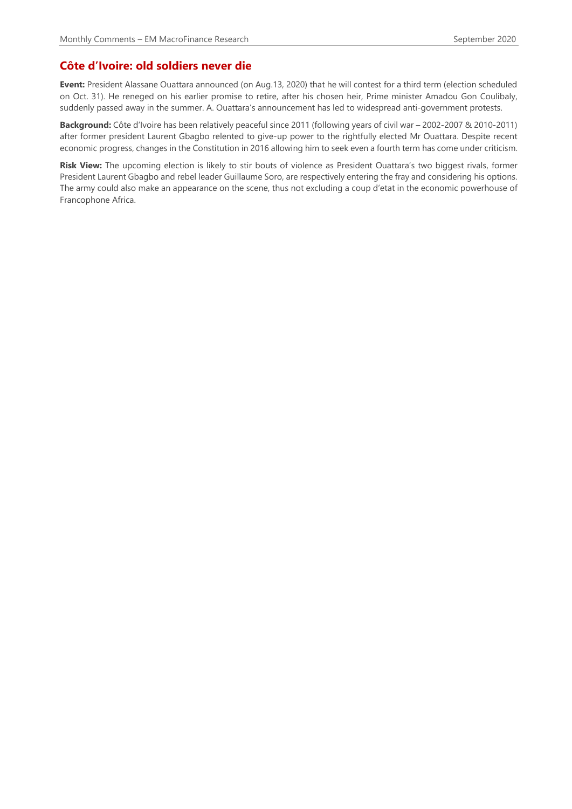## **Côte d'Ivoire: old soldiers never die**

**Event:** President Alassane Ouattara announced (on Aug.13, 2020) that he will contest for a third term (election scheduled on Oct. 31). He reneged on his earlier promise to retire, after his chosen heir, Prime minister Amadou Gon Coulibaly, suddenly passed away in the summer. A. Ouattara's announcement has led to widespread anti-government protests.

**Background:** Côte d'Ivoire has been relatively peaceful since 2011 (following years of civil war – 2002-2007 & 2010-2011) after former president Laurent Gbagbo relented to give-up power to the rightfully elected Mr Ouattara. Despite recent economic progress, changes in the Constitution in 2016 allowing him to seek even a fourth term has come under criticism.

**Risk View:** The upcoming election is likely to stir bouts of violence as President Ouattara's two biggest rivals, former President Laurent Gbagbo and rebel leader Guillaume Soro, are respectively entering the fray and considering his options. The army could also make an appearance on the scene, thus not excluding a coup d'etat in the economic powerhouse of Francophone Africa.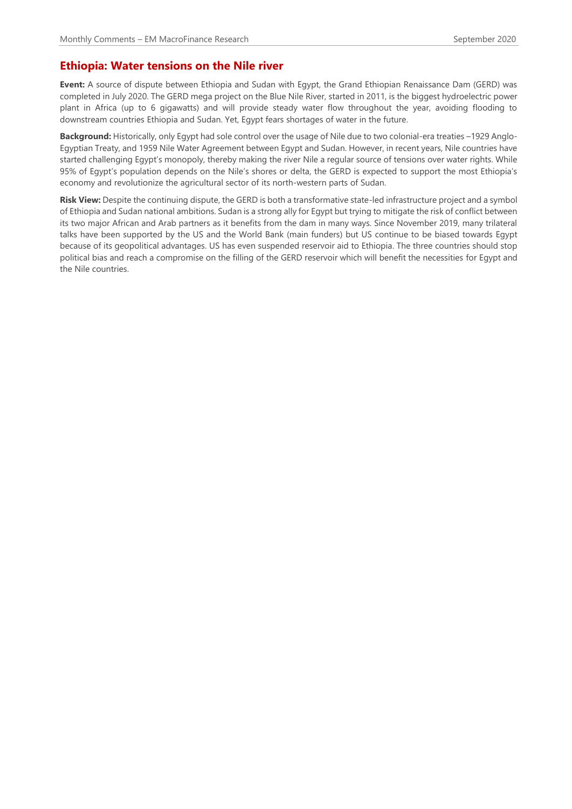#### **Ethiopia: Water tensions on the Nile river**

**Event:** A source of dispute between Ethiopia and Sudan with Egypt, the Grand Ethiopian Renaissance Dam (GERD) was completed in July 2020. The GERD mega project on the Blue Nile River, started in 2011, is the biggest hydroelectric power plant in Africa (up to 6 gigawatts) and will provide steady water flow throughout the year, avoiding flooding to downstream countries Ethiopia and Sudan. Yet, Egypt fears shortages of water in the future.

**Background:** Historically, only Egypt had sole control over the usage of Nile due to two colonial-era treaties –1929 Anglo-Egyptian Treaty, and 1959 Nile Water Agreement between Egypt and Sudan. However, in recent years, Nile countries have started challenging Egypt's monopoly, thereby making the river Nile a regular source of tensions over water rights. While 95% of Egypt's population depends on the Nile's shores or delta, the GERD is expected to support the most Ethiopia's economy and revolutionize the agricultural sector of its north-western parts of Sudan.

**Risk View:** Despite the continuing dispute, the GERD is both a transformative state-led infrastructure project and a symbol of Ethiopia and Sudan national ambitions. Sudan is a strong ally for Egypt but trying to mitigate the risk of conflict between its two major African and Arab partners as it benefits from the dam in many ways. Since November 2019, many trilateral talks have been supported by the US and the World Bank (main funders) but US continue to be biased towards Egypt because of its geopolitical advantages. US has even suspended reservoir aid to Ethiopia. The three countries should stop political bias and reach a compromise on the filling of the GERD reservoir which will benefit the necessities for Egypt and the Nile countries.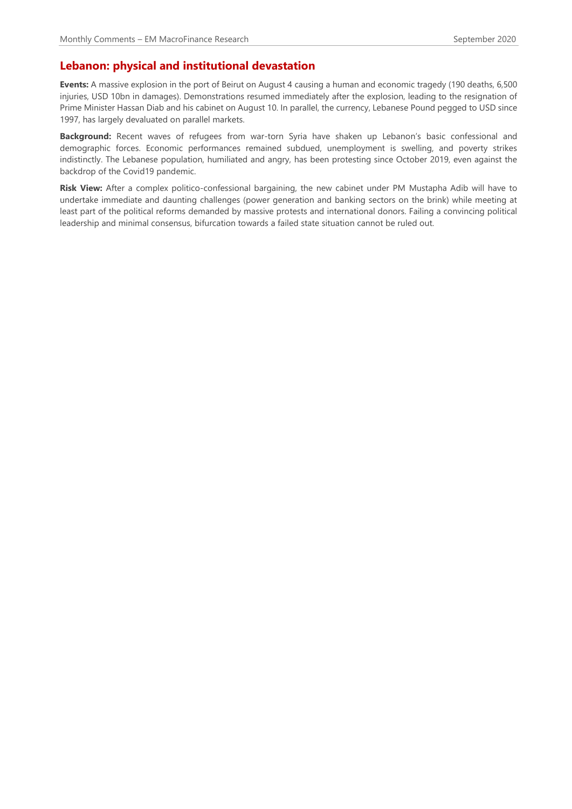## **Lebanon: physical and institutional devastation**

**Events:** A massive explosion in the port of Beirut on August 4 causing a human and economic tragedy (190 deaths, 6,500 injuries, USD 10bn in damages). Demonstrations resumed immediately after the explosion, leading to the resignation of Prime Minister Hassan Diab and his cabinet on August 10. In parallel, the currency, Lebanese Pound pegged to USD since 1997, has largely devaluated on parallel markets.

**Background:** Recent waves of refugees from war-torn Syria have shaken up Lebanon's basic confessional and demographic forces. Economic performances remained subdued, unemployment is swelling, and poverty strikes indistinctly. The Lebanese population, humiliated and angry, has been protesting since October 2019, even against the backdrop of the Covid19 pandemic.

**Risk View:** After a complex politico-confessional bargaining, the new cabinet under PM Mustapha Adib will have to undertake immediate and daunting challenges (power generation and banking sectors on the brink) while meeting at least part of the political reforms demanded by massive protests and international donors. Failing a convincing political leadership and minimal consensus, bifurcation towards a failed state situation cannot be ruled out.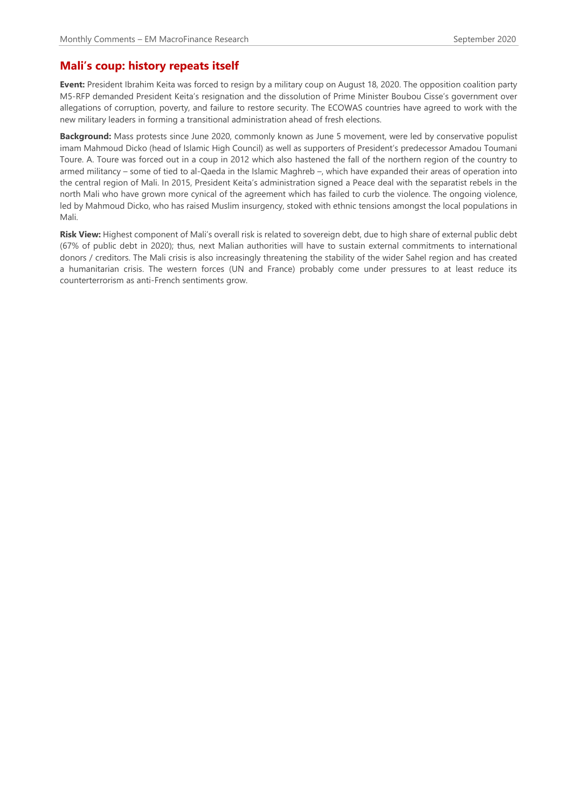## **Mali's coup: history repeats itself**

**Event:** President Ibrahim Keita was forced to resign by a military coup on August 18, 2020. The opposition coalition party M5-RFP demanded President Keita's resignation and the dissolution of Prime Minister Boubou Cisse's government over allegations of corruption, poverty, and failure to restore security. The ECOWAS countries have agreed to work with the new military leaders in forming a transitional administration ahead of fresh elections.

**Background:** Mass protests since June 2020, commonly known as June 5 movement, were led by conservative populist imam Mahmoud Dicko (head of Islamic High Council) as well as supporters of President's predecessor Amadou Toumani Toure. A. Toure was forced out in a coup in 2012 which also hastened the fall of the northern region of the country to armed militancy – some of tied to al-Qaeda in the Islamic Maghreb –, which have expanded their areas of operation into the central region of Mali. In 2015, President Keita's administration signed a Peace deal with the separatist rebels in the north Mali who have grown more cynical of the agreement which has failed to curb the violence. The ongoing violence, led by Mahmoud Dicko, who has raised Muslim insurgency, stoked with ethnic tensions amongst the local populations in Mali.

**Risk View:** Highest component of Mali's overall risk is related to sovereign debt, due to high share of external public debt (67% of public debt in 2020); thus, next Malian authorities will have to sustain external commitments to international donors / creditors. The Mali crisis is also increasingly threatening the stability of the wider Sahel region and has created a humanitarian crisis. The western forces (UN and France) probably come under pressures to at least reduce its counterterrorism as anti-French sentiments grow.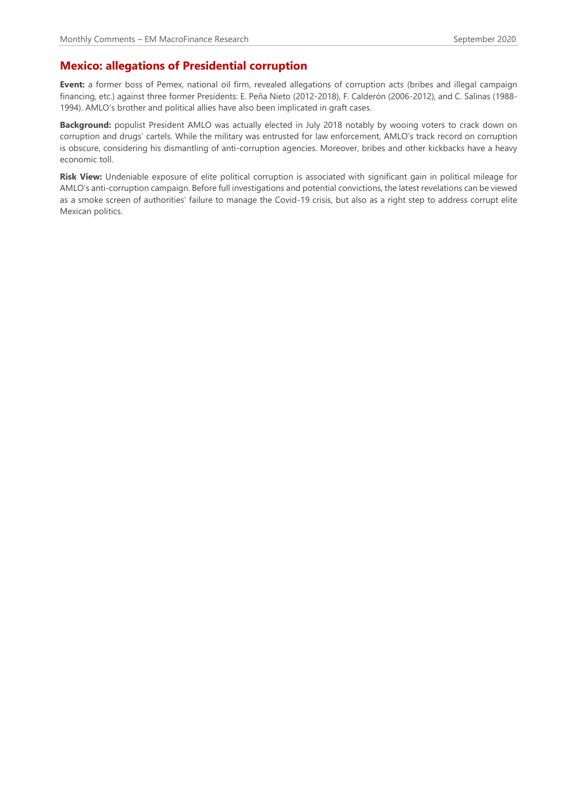# **Mexico: allegations of Presidential corruption**

**Event:** a former boss of Pemex, national oil firm, revealed allegations of corruption acts (bribes and illegal campaign financing, etc.) against three former Presidents: E. Peña Nieto (2012-2018), F. Calderón (2006-2012), and C. Salinas (1988- 1994). AMLO's brother and political allies have also been implicated in graft cases.

**Background:** populist President AMLO was actually elected in July 2018 notably by wooing voters to crack down on corruption and drugs' cartels. While the military was entrusted for law enforcement, AMLO's track record on corruption is obscure, considering his dismantling of anti-corruption agencies. Moreover, bribes and other kickbacks have a heavy economic toll.

**Risk View:** Undeniable exposure of elite political corruption is associated with significant gain in political mileage for AMLO's anti-corruption campaign. Before full investigations and potential convictions, the latest revelations can be viewed as a smoke screen of authorities' failure to manage the Covid-19 crisis, but also as a right step to address corrupt elite Mexican politics.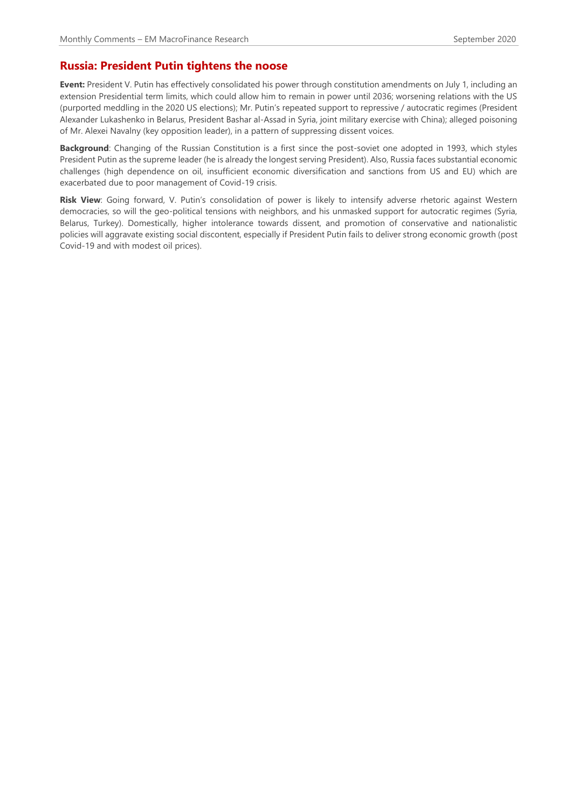#### **Russia: President Putin tightens the noose**

**Event:** President V. Putin has effectively consolidated his power through constitution amendments on July 1, including an extension Presidential term limits, which could allow him to remain in power until 2036; worsening relations with the US (purported meddling in the 2020 US elections); Mr. Putin's repeated support to repressive / autocratic regimes (President Alexander Lukashenko in Belarus, President Bashar al-Assad in Syria, joint military exercise with China); alleged poisoning of Mr. Alexei Navalny (key opposition leader), in a pattern of suppressing dissent voices.

**Background**: Changing of the Russian Constitution is a first since the post-soviet one adopted in 1993, which styles President Putin as the supreme leader (he is already the longest serving President). Also, Russia faces substantial economic challenges (high dependence on oil, insufficient economic diversification and sanctions from US and EU) which are exacerbated due to poor management of Covid-19 crisis.

**Risk View**: Going forward, V. Putin's consolidation of power is likely to intensify adverse rhetoric against Western democracies, so will the geo-political tensions with neighbors, and his unmasked support for autocratic regimes (Syria, Belarus, Turkey). Domestically, higher intolerance towards dissent, and promotion of conservative and nationalistic policies will aggravate existing social discontent, especially if President Putin fails to deliver strong economic growth (post Covid-19 and with modest oil prices).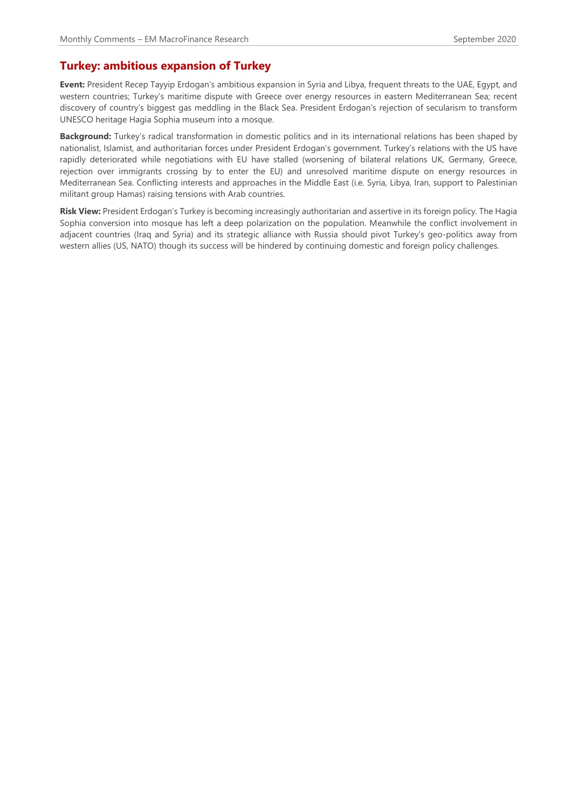## **Turkey: ambitious expansion of Turkey**

**Event:** President Recep Tayyip Erdogan's ambitious expansion in Syria and Libya, frequent threats to the UAE, Egypt, and western countries; Turkey's maritime dispute with Greece over energy resources in eastern Mediterranean Sea; recent discovery of country's biggest gas meddling in the Black Sea. President Erdogan's rejection of secularism to transform UNESCO heritage Hagia Sophia museum into a mosque.

**Background:** Turkey's radical transformation in domestic politics and in its international relations has been shaped by nationalist, Islamist, and authoritarian forces under President Erdogan's government. Turkey's relations with the US have rapidly deteriorated while negotiations with EU have stalled (worsening of bilateral relations UK, Germany, Greece, rejection over immigrants crossing by to enter the EU) and unresolved maritime dispute on energy resources in Mediterranean Sea. Conflicting interests and approaches in the Middle East (i.e. Syria, Libya, Iran, support to Palestinian militant group Hamas) raising tensions with Arab countries.

**Risk View:** President Erdogan's Turkey is becoming increasingly authoritarian and assertive in its foreign policy. The Hagia Sophia conversion into mosque has left a deep polarization on the population. Meanwhile the conflict involvement in adjacent countries (Iraq and Syria) and its strategic alliance with Russia should pivot Turkey's geo-politics away from western allies (US, NATO) though its success will be hindered by continuing domestic and foreign policy challenges.